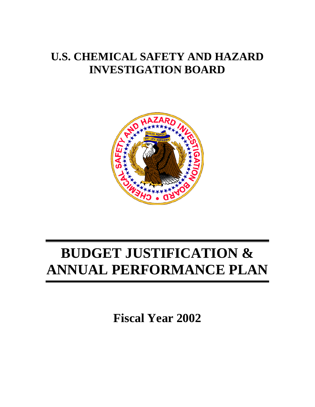# **U.S. CHEMICAL SAFETY AND HAZARD INVESTIGATION BOARD**



# **BUDGET JUSTIFICATION & ANNUAL PERFORMANCE PLAN**

**Fiscal Year 2002**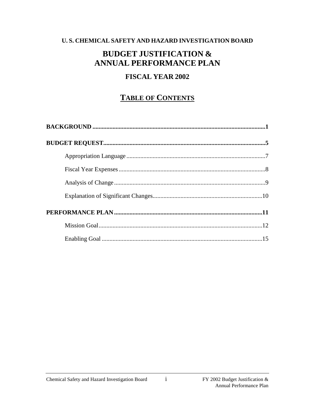# U.S. CHEMICAL SAFETY AND HAZARD INVESTIGATION BOARD

# **BUDGET JUSTIFICATION & ANNUAL PERFORMANCE PLAN**

# **FISCAL YEAR 2002**

# **TABLE OF CONTENTS**

 $\mathbf{i}$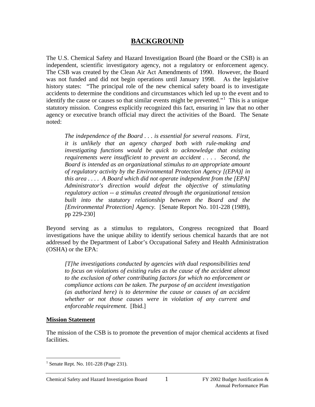# **BACKGROUND**

The U.S. Chemical Safety and Hazard Investigation Board (the Board or the CSB) is an independent, scientific investigatory agency, not a regulatory or enforcement agency. The CSB was created by the Clean Air Act Amendments of 1990. However, the Board was not funded and did not begin operations until January 1998. As the legislative history states: "The principal role of the new chemical safety board is to investigate accidents to determine the conditions and circumstances which led up to the event and to identify the cause or causes so that similar events might be prevented."<sup>[1](#page-2-0)</sup> This is a unique statutory mission. Congress explicitly recognized this fact, ensuring in law that no other agency or executive branch official may direct the activities of the Board. The Senate noted:

*The independence of the Board . . . is essential for several reasons. First, it is unlikely that an agency charged both with rule-making and investigating functions would be quick to acknowledge that existing requirements were insufficient to prevent an accident . . . . Second, the Board is intended as an organizational stimulus to an appropriate amount of regulatory activity by the Environmental Protection Agency [(EPA)] in this area . . . . A Board which did not operate independent from the [EPA] Administrator's direction would defeat the objective of stimulating regulatory action -- a stimulus created through the organizational tension built into the statutory relationship between the Board and the [Environmental Protection] Agency.* [Senate Report No. 101-228 (1989), pp 229-230]

Beyond serving as a stimulus to regulators, Congress recognized that Board investigations have the unique ability to identify serious chemical hazards that are not addressed by the Department of Labor's Occupational Safety and Health Administration (OSHA) or the EPA:

*[T]he investigations conducted by agencies with dual responsibilities tend to focus on violations of existing rules as the cause of the accident almost to the exclusion of other contributing factors for which no enforcement or compliance actions can be taken. The purpose of an accident investigation (as authorized here) is to determine the cause or causes of an accident whether or not those causes were in violation of any current and enforceable requirement.* [Ibid.]

#### **Mission Statement**

The mission of the CSB is to promote the prevention of major chemical accidents at fixed facilities.

<span id="page-2-0"></span><sup>&</sup>lt;sup>1</sup> Senate Rept. No. 101-228 (Page 231).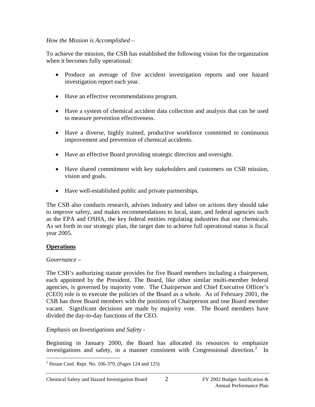# *How the Mission is Accomplished –*

To achieve the mission, the CSB has established the following vision for the organization when it becomes fully operational:

- Produce an average of five accident investigation reports and one hazard investigation report each year.
- Have an effective recommendations program.
- Have a system of chemical accident data collection and analysis that can be used to measure prevention effectiveness.
- Have a diverse, highly trained, productive workforce committed to continuous improvement and prevention of chemical accidents.
- Have an effective Board providing strategic direction and oversight.
- Have shared commitment with key stakeholders and customers on CSB mission, vision and goals.
- Have well-established public and private partnerships.

The CSB also conducts research, advises industry and labor on actions they should take to improve safety, and makes recommendations to local, state, and federal agencies such as the EPA and OSHA, the key federal entities regulating industries that use chemicals. As set forth in our strategic plan, the target date to achieve full operational status is fiscal year 2005.

# **Operations**

# *Governance –*

The CSB's authorizing statute provides for five Board members including a chairperson, each appointed by the President. The Board, like other similar multi-member federal agencies, is governed by majority vote. The Chairperson and Chief Executive Officer's (CEO) role is to execute the policies of the Board as a whole. As of February 2001, the CSB has three Board members with the positions of Chairperson and one Board member vacant. Significant decisions are made by majority vote. The Board members have divided the day-to-day functions of the CEO.

# *Emphasis on Investigations and Safety -*

Beginning in January 2000, the Board has allocated its resources to emphasize investigations and safety, in a manner consistent with Congressional direction.<sup>[2](#page-3-0)</sup> In

<span id="page-3-0"></span> $<sup>2</sup>$  House Conf. Rept. No. 106-379, (Pages 124 and 125)</sup>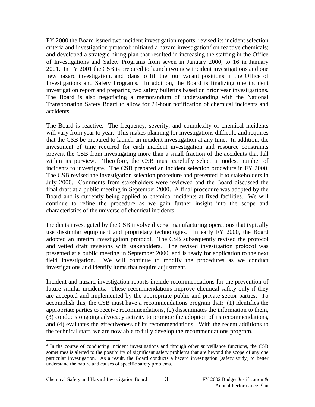FY 2000 the Board issued two incident investigation reports; revised its incident selection criteria and investigation protocol; initiated a hazard investigation<sup>[3](#page-4-0)</sup> on reactive chemicals; and developed a strategic hiring plan that resulted in increasing the staffing in the Office of Investigations and Safety Programs from seven in January 2000, to 16 in January 2001. In FY 2001 the CSB is prepared to launch two new incident investigations and one new hazard investigation, and plans to fill the four vacant positions in the Office of Investigations and Safety Programs. In addition, the Board is finalizing one incident investigation report and preparing two safety bulletins based on prior year investigations. The Board is also negotiating a memorandum of understanding with the National Transportation Safety Board to allow for 24-hour notification of chemical incidents and accidents.

The Board is reactive. The frequency, severity, and complexity of chemical incidents will vary from year to year. This makes planning for investigations difficult, and requires that the CSB be prepared to launch an incident investigation at any time. In addition, the investment of time required for each incident investigation and resource constraints prevent the CSB from investigating more than a small fraction of the accidents that fall within its purview. Therefore, the CSB must carefully select a modest number of incidents to investigate. The CSB prepared an incident selection procedure in FY 2000. The CSB revised the investigation selection procedure and presented it to stakeholders in July 2000. Comments from stakeholders were reviewed and the Board discussed the final draft at a public meeting in September 2000. A final procedure was adopted by the Board and is currently being applied to chemical incidents at fixed facilities. We will continue to refine the procedure as we gain further insight into the scope and characteristics of the universe of chemical incidents.

Incidents investigated by the CSB involve diverse manufacturing operations that typically use dissimilar equipment and proprietary technologies. In early FY 2000, the Board adopted an interim investigation protocol. The CSB subsequently revised the protocol and vetted draft revisions with stakeholders. The revised investigation protocol was presented at a public meeting in September 2000, and is ready for application to the next field investigation. We will continue to modify the procedures as we conduct investigations and identify items that require adjustment.

Incident and hazard investigation reports include recommendations for the prevention of future similar incidents. These recommendations improve chemical safety only if they are accepted and implemented by the appropriate public and private sector parties. To accomplish this, the CSB must have a recommendations program that: (1) identifies the appropriate parties to receive recommendations, (2) disseminates the information to them, (3) conducts ongoing advocacy activity to promote the adoption of its recommendations, and (4) evaluates the effectiveness of its recommendations. With the recent additions to the technical staff, we are now able to fully develop the recommendations program.

<span id="page-4-0"></span><sup>&</sup>lt;sup>3</sup> In the course of conducting incident investigations and through other surveillance functions, the CSB sometimes is alerted to the possibility of significant safety problems that are beyond the scope of any one particular investigation. As a result, the Board conducts a hazard investigation (safety study) to better understand the nature and causes of specific safety problems.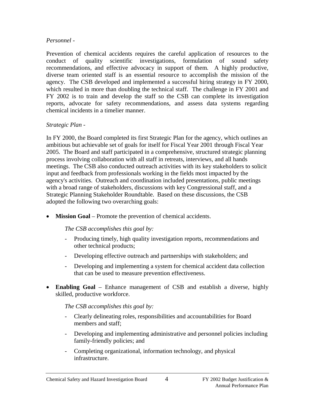#### *Personnel -*

Prevention of chemical accidents requires the careful application of resources to the conduct of quality scientific investigations, formulation of sound safety recommendations, and effective advocacy in support of them. A highly productive, diverse team oriented staff is an essential resource to accomplish the mission of the agency. The CSB developed and implemented a successful hiring strategy in FY 2000, which resulted in more than doubling the technical staff. The challenge in FY 2001 and FY 2002 is to train and develop the staff so the CSB can complete its investigation reports, advocate for safety recommendations, and assess data systems regarding chemical incidents in a timelier manner.

# *Strategic Plan -*

In FY 2000, the Board completed its first Strategic Plan for the agency, which outlines an ambitious but achievable set of goals for itself for Fiscal Year 2001 through Fiscal Year 2005. The Board and staff participated in a comprehensive, structured strategic planning process involving collaboration with all staff in retreats, interviews, and all hands meetings. The CSB also conducted outreach activities with its key stakeholders to solicit input and feedback from professionals working in the fields most impacted by the agency's activities. Outreach and coordination included presentations, public meetings with a broad range of stakeholders, discussions with key Congressional staff, and a Strategic Planning Stakeholder Roundtable. Based on these discussions, the CSB adopted the following two overarching goals:

• **Mission Goal** – Promote the prevention of chemical accidents.

# *The CSB accomplishes this goal by:*

- Producing timely, high quality investigation reports, recommendations and other technical products;
- Developing effective outreach and partnerships with stakeholders; and
- Developing and implementing a system for chemical accident data collection that can be used to measure prevention effectiveness.
- **Enabling Goal** Enhance management of CSB and establish a diverse, highly skilled, productive workforce.

*The CSB accomplishes this goal by:*

- Clearly delineating roles, responsibilities and accountabilities for Board members and staff;
- Developing and implementing administrative and personnel policies including family-friendly policies; and
- Completing organizational, information technology, and physical infrastructure.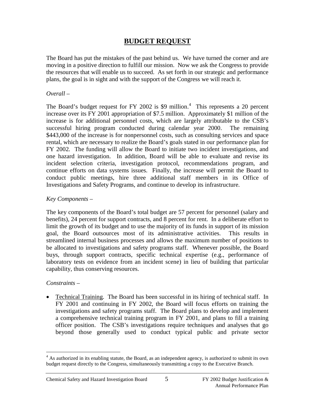# **BUDGET REQUEST**

The Board has put the mistakes of the past behind us. We have turned the corner and are moving in a positive direction to fulfill our mission. Now we ask the Congress to provide the resources that will enable us to succeed. As set forth in our strategic and performance plans, the goal is in sight and with the support of the Congress we will reach it.

#### *Overall –*

The Board's budget request for FY 2002 is \$9 million.<sup>[4](#page-6-0)</sup> This represents a 20 percent increase over its FY 2001 appropriation of \$7.5 million. Approximately \$1 million of the increase is for additional personnel costs, which are largely attributable to the CSB's successful hiring program conducted during calendar year 2000. The remaining \$443,000 of the increase is for nonpersonnel costs, such as consulting services and space rental, which are necessary to realize the Board's goals stated in our performance plan for FY 2002. The funding will allow the Board to initiate two incident investigations, and one hazard investigation. In addition, Board will be able to evaluate and revise its incident selection criteria, investigation protocol, recommendations program, and continue efforts on data systems issues. Finally, the increase will permit the Board to conduct public meetings, hire three additional staff members in its Office of Investigations and Safety Programs, and continue to develop its infrastructure.

#### *Key Components –*

The key components of the Board's total budget are 57 percent for personnel (salary and benefits), 24 percent for support contracts, and 8 percent for rent. In a deliberate effort to limit the growth of its budget and to use the majority of its funds in support of its mission goal, the Board outsources most of its administrative activities. This results in streamlined internal business processes and allows the maximum number of positions to be allocated to investigations and safety programs staff. Whenever possible, the Board buys, through support contracts, specific technical expertise (e.g., performance of laboratory tests on evidence from an incident scene) in lieu of building that particular capability, thus conserving resources.

#### *Constraints –*

• Technical Training. The Board has been successful in its hiring of technical staff. In FY 2001 and continuing in FY 2002, the Board will focus efforts on training the investigations and safety programs staff. The Board plans to develop and implement a comprehensive technical training program in FY 2001, and plans to fill a training officer position. The CSB's investigations require techniques and analyses that go beyond those generally used to conduct typical public and private sector

<span id="page-6-0"></span><sup>&</sup>lt;sup>4</sup> As authorized in its enabling statute, the Board, as an independent agency, is authorized to submit its own budget request directly to the Congress, simultaneously transmitting a copy to the Executive Branch.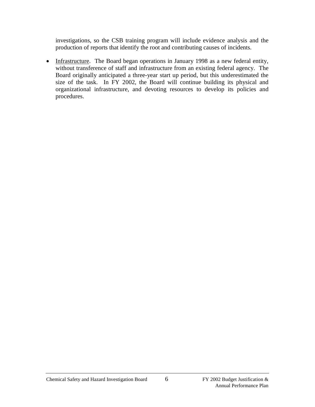investigations, so the CSB training program will include evidence analysis and the production of reports that identify the root and contributing causes of incidents.

• Infrastructure. The Board began operations in January 1998 as a new federal entity, without transference of staff and infrastructure from an existing federal agency. The Board originally anticipated a three-year start up period, but this underestimated the size of the task. In FY 2002, the Board will continue building its physical and organizational infrastructure, and devoting resources to develop its policies and procedures.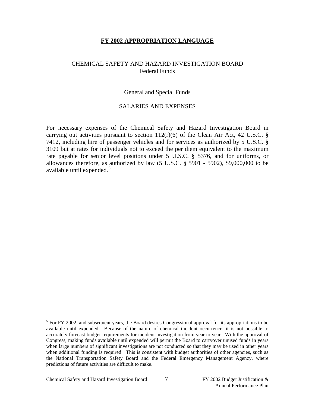#### **FY 2002 APPROPRIATION LANGUAGE**

#### CHEMICAL SAFETY AND HAZARD INVESTIGATION BOARD Federal Funds

#### General and Special Funds

#### SALARIES AND EXPENSES

For necessary expenses of the Chemical Safety and Hazard Investigation Board in carrying out activities pursuant to section  $112(r)(6)$  of the Clean Air Act, 42 U.S.C. § 7412, including hire of passenger vehicles and for services as authorized by 5 U.S.C. § 3109 but at rates for individuals not to exceed the per diem equivalent to the maximum rate payable for senior level positions under 5 U.S.C. § 5376, and for uniforms, or allowances therefore, as authorized by law  $(5 \text{ U.S.C. } § 5901 - 5902)$ , \$9,000,000 to be available until expended.<sup>[5](#page-8-0)</sup>

<span id="page-8-0"></span> $<sup>5</sup>$  For FY 2002, and subsequent years, the Board desires Congressional approval for its appropriations to be</sup> available until expended. Because of the nature of chemical incident occurrence, it is not possible to accurately forecast budget requirements for incident investigation from year to year. With the approval of Congress, making funds available until expended will permit the Board to carryover unused funds in years when large numbers of significant investigations are not conducted so that they may be used in other years when additional funding is required. This is consistent with budget authorities of other agencies, such as the National Transportation Safety Board and the Federal Emergency Management Agency, where predictions of future activities are difficult to make.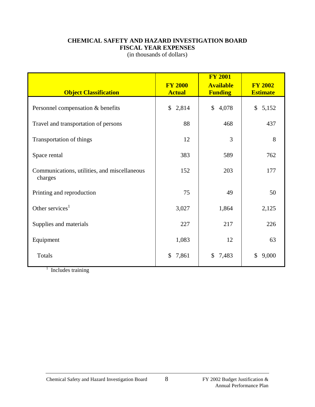#### **CHEMICAL SAFETY AND HAZARD INVESTIGATION BOARD FISCAL YEAR EXPENSES**

(in thousands of dollars)

| <b>Object Classification</b>                            | <b>FY 2000</b><br><b>Actual</b> | <b>FY 2001</b><br><b>Available</b><br><b>Funding</b> | <b>FY 2002</b><br><b>Estimate</b> |  |
|---------------------------------------------------------|---------------------------------|------------------------------------------------------|-----------------------------------|--|
| Personnel compensation & benefits                       | \$2,814                         | $\mathbb{S}$<br>4,078                                | \$5,152                           |  |
| Travel and transportation of persons                    | 88                              | 468                                                  | 437                               |  |
| Transportation of things                                | 12                              | $\overline{3}$                                       | 8                                 |  |
| Space rental                                            | 383                             | 589                                                  | 762                               |  |
| Communications, utilities, and miscellaneous<br>charges | 152                             | 203                                                  | 177                               |  |
| Printing and reproduction                               | 75                              | 49                                                   | 50                                |  |
| Other services $1$                                      | 3,027                           | 1,864                                                | 2,125                             |  |
| Supplies and materials                                  | 227                             | 217                                                  | 226                               |  |
| Equipment                                               | 1,083                           | 12                                                   | 63                                |  |
| Totals                                                  | 7,861<br>\$                     | \$<br>7,483                                          | 9,000<br>\$                       |  |

 $1$  Includes training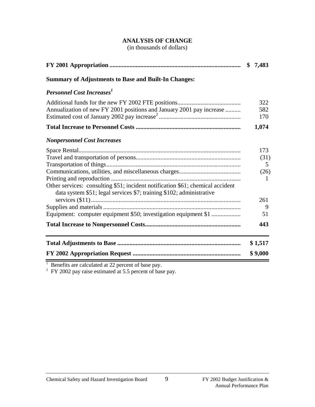# **ANALYSIS OF CHANGE**

(in thousands of dollars)

|                                                                                                                                                                                                                           | \$<br>7,483                                     |
|---------------------------------------------------------------------------------------------------------------------------------------------------------------------------------------------------------------------------|-------------------------------------------------|
| <b>Summary of Adjustments to Base and Built-In Changes:</b>                                                                                                                                                               |                                                 |
| <b>Personnel Cost Increases</b> <sup>1</sup>                                                                                                                                                                              |                                                 |
| Annualization of new FY 2001 positions and January 2001 pay increase                                                                                                                                                      | 322<br>582<br>170                               |
|                                                                                                                                                                                                                           | 1,074                                           |
| <b>Nonpersonnel Cost Increases</b>                                                                                                                                                                                        |                                                 |
| Other services: consulting \$51; incident notification \$61; chemical accident<br>data system \$51; legal services \$7; training \$102; administrative<br>Equipment: computer equipment \$50; investigation equipment \$1 | 173<br>(31)<br>5<br>(26)<br>1<br>261<br>9<br>51 |
|                                                                                                                                                                                                                           | 443                                             |
|                                                                                                                                                                                                                           | \$1,517                                         |
|                                                                                                                                                                                                                           | \$9,000                                         |

 $1$  Benefits are calculated at 22 percent of base pay.

 $2$  FY 2002 pay raise estimated at 5.5 percent of base pay.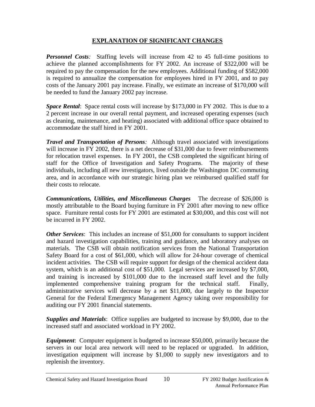# **EXPLANATION OF SIGNIFICANT CHANGES**

*Personnel Costs:* Staffing levels will increase from 42 to 45 full-time positions to achieve the planned accomplishments for FY 2002. An increase of \$322,000 will be required to pay the compensation for the new employees. Additional funding of \$582,000 is required to annualize the compensation for employees hired in FY 2001, and to pay costs of the January 2001 pay increase. Finally, we estimate an increase of \$170,000 will be needed to fund the January 2002 pay increase.

*Space Rental*: Space rental costs will increase by \$173,000 in FY 2002. This is due to a 2 percent increase in our overall rental payment, and increased operating expenses (such as cleaning, maintenance, and heating) associated with additional office space obtained to accommodate the staff hired in FY 2001.

*Travel and Transportation of Persons:* Although travel associated with investigations will increase in FY 2002, there is a net decrease of \$31,000 due to fewer reimbursements for relocation travel expenses. In FY 2001, the CSB completed the significant hiring of staff for the Office of Investigation and Safety Programs. The majority of these individuals, including all new investigators, lived outside the Washington DC commuting area, and in accordance with our strategic hiring plan we reimbursed qualified staff for their costs to relocate.

*Communications, Utilities, and Miscellaneous Charges* The decrease of \$26,000 is mostly attributable to the Board buying furniture in FY 2001 after moving to new office space. Furniture rental costs for FY 2001 are estimated at \$30,000, and this cost will not be incurred in FY 2002.

*Other Services*: This includes an increase of \$51,000 for consultants to support incident and hazard investigation capabilities, training and guidance, and laboratory analyses on materials. The CSB will obtain notification services from the National Transportation Safety Board for a cost of \$61,000, which will allow for 24-hour coverage of chemical incident activities. The CSB will require support for design of the chemical accident data system, which is an additional cost of \$51,000. Legal services are increased by \$7,000, and training is increased by \$101,000 due to the increased staff level and the fully implemented comprehensive training program for the technical staff. Finally, administrative services will decrease by a net \$11,000, due largely to the Inspector General for the Federal Emergency Management Agency taking over responsibility for auditing our FY 2001 financial statements.

*Supplies and Materials*: Office supplies are budgeted to increase by \$9,000, due to the increased staff and associated workload in FY 2002.

*Equipment*: Computer equipment is budgeted to increase \$50,000, primarily because the servers in our local area network will need to be replaced or upgraded. In addition, investigation equipment will increase by \$1,000 to supply new investigators and to replenish the inventory.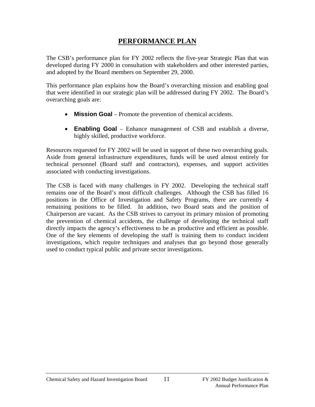# **PERFORMANCE PLAN**

The CSB's performance plan for FY 2002 reflects the five-year Strategic Plan that was developed during FY 2000 in consultation with stakeholders and other interested parties, and adopted by the Board members on September 29, 2000.

This performance plan explains how the Board's overarching mission and enabling goal that were identified in our strategic plan will be addressed during FY 2002. The Board's overarching goals are:

- **Mission Goal** Promote the prevention of chemical accidents.
- **Enabling Goal** Enhance management of CSB and establish a diverse, highly skilled, productive workforce.

Resources requested for FY 2002 will be used in support of these two overarching goals. Aside from general infrastructure expenditures, funds will be used almost entirely for technical personnel (Board staff and contractors), expenses, and support activities associated with conducting investigations.

The CSB is faced with many challenges in FY 2002. Developing the technical staff remains one of the Board's most difficult challenges. Although the CSB has filled 16 positions in the Office of Investigation and Safety Programs, there are currently 4 remaining positions to be filled. In addition, two Board seats and the position of Chairperson are vacant. As the CSB strives to carryout its primary mission of promoting the prevention of chemical accidents, the challenge of developing the technical staff directly impacts the agency's effectiveness to be as productive and efficient as possible. One of the key elements of developing the staff is training them to conduct incident investigations, which require techniques and analyses that go beyond those generally used to conduct typical public and private sector investigations.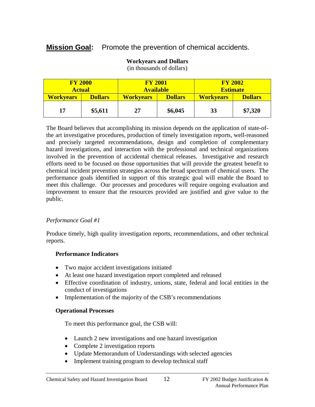# **Mission Goal:** Promote the prevention of chemical accidents.

| <b>FY 2000</b><br><b>FY 2001</b><br><b>Available</b><br><b>Actual</b> |                | <b>FY 2002</b><br><b>Estimate</b> |                |                  |                |
|-----------------------------------------------------------------------|----------------|-----------------------------------|----------------|------------------|----------------|
| <b>Workvears</b>                                                      | <b>Dollars</b> | <b>Workvears</b>                  | <b>Dollars</b> | <b>Workvears</b> | <b>Dollars</b> |
| 17                                                                    | \$5,611        | 27                                | \$6,045        | 33               | \$7,320        |

#### **Workyears and Dollars**

(in thousands of dollars)

The Board believes that accomplishing its mission depends on the application of state-ofthe art investigative procedures, production of timely investigation reports, well-reasoned and precisely targeted recommendations, design and completion of complementary hazard investigations, and interaction with the professional and technical organizations involved in the prevention of accidental chemical releases. Investigative and research efforts need to be focused on those opportunities that will provide the greatest benefit to chemical incident prevention strategies across the broad spectrum of chemical users. The performance goals identified in support of this strategic goal will enable the Board to meet this challenge. Our processes and procedures will require ongoing evaluation and improvement to ensure that the resources provided are justified and give value to the public.

# *Performance Goal #1*

Produce timely, high quality investigation reports, recommendations, and other technical reports.

# **Performance Indicators**

- Two major accident investigations initiated
- At least one hazard investigation report completed and released
- Effective coordination of industry, unions, state, federal and local entities in the conduct of investigations
- Implementation of the majority of the CSB's recommendations

# **Operational Processes**

To meet this performance goal, the CSB will:

- Launch 2 new investigations and one hazard investigation
- Complete 2 investigation reports
- Update Memorandum of Understandings with selected agencies
- Implement training program to develop technical staff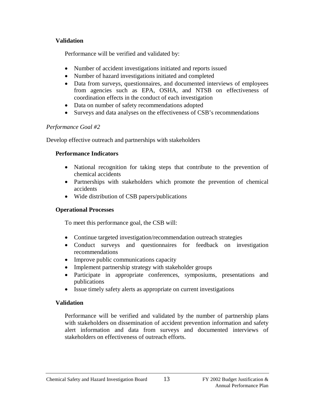#### **Validation**

Performance will be verified and validated by:

- Number of accident investigations initiated and reports issued
- Number of hazard investigations initiated and completed
- Data from surveys, questionnaires, and documented interviews of employees from agencies such as EPA, OSHA, and NTSB on effectiveness of coordination effects in the conduct of each investigation
- Data on number of safety recommendations adopted
- Surveys and data analyses on the effectiveness of CSB's recommendations

# *Performance Goal #2*

Develop effective outreach and partnerships with stakeholders

# **Performance Indicators**

- National recognition for taking steps that contribute to the prevention of chemical accidents
- Partnerships with stakeholders which promote the prevention of chemical accidents
- Wide distribution of CSB papers/publications

# **Operational Processes**

To meet this performance goal, the CSB will:

- Continue targeted investigation/recommendation outreach strategies
- Conduct surveys and questionnaires for feedback on investigation recommendations
- Improve public communications capacity
- Implement partnership strategy with stakeholder groups
- Participate in appropriate conferences, symposiums, presentations and publications
- Issue timely safety alerts as appropriate on current investigations

# **Validation**

Performance will be verified and validated by the number of partnership plans with stakeholders on dissemination of accident prevention information and safety alert information and data from surveys and documented interviews of stakeholders on effectiveness of outreach efforts.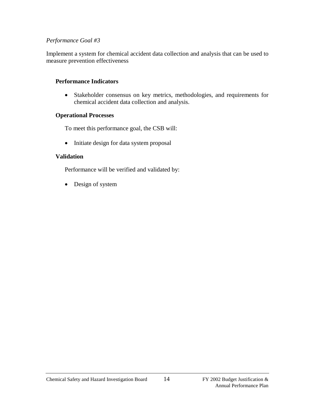#### *Performance Goal #3*

Implement a system for chemical accident data collection and analysis that can be used to measure prevention effectiveness

#### **Performance Indicators**

• Stakeholder consensus on key metrics, methodologies, and requirements for chemical accident data collection and analysis.

#### **Operational Processes**

To meet this performance goal, the CSB will:

• Initiate design for data system proposal

#### **Validation**

Performance will be verified and validated by:

• Design of system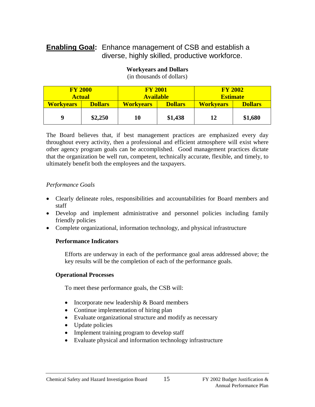# **Enabling Goal:** Enhance management of CSB and establish a diverse, highly skilled, productive workforce.

| <b>FY 2000</b>   |                | <b>FY 2001</b>   |                | <b>FY 2002</b>   |                |
|------------------|----------------|------------------|----------------|------------------|----------------|
| <b>Actual</b>    |                | <b>Available</b> |                | <b>Estimate</b>  |                |
| <b>Workvears</b> | <b>Dollars</b> | <b>Workyears</b> | <b>Dollars</b> | <b>Workvears</b> | <b>Dollars</b> |
| 9                | \$2,250        | 10               | \$1,438        | 12               | \$1,680        |

# **Workyears and Dollars**

(in thousands of dollars)

The Board believes that, if best management practices are emphasized every day throughout every activity, then a professional and efficient atmosphere will exist where other agency program goals can be accomplished. Good management practices dictate that the organization be well run, competent, technically accurate, flexible, and timely, to ultimately benefit both the employees and the taxpayers.

#### *Performance Goals*

- Clearly delineate roles, responsibilities and accountabilities for Board members and staff
- Develop and implement administrative and personnel policies including family friendly policies
- Complete organizational, information technology, and physical infrastructure

#### **Performance Indicators**

Efforts are underway in each of the performance goal areas addressed above; the key results will be the completion of each of the performance goals.

#### **Operational Processes**

To meet these performance goals, the CSB will:

- Incorporate new leadership & Board members
- Continue implementation of hiring plan
- Evaluate organizational structure and modify as necessary
- Update policies
- Implement training program to develop staff
- Evaluate physical and information technology infrastructure